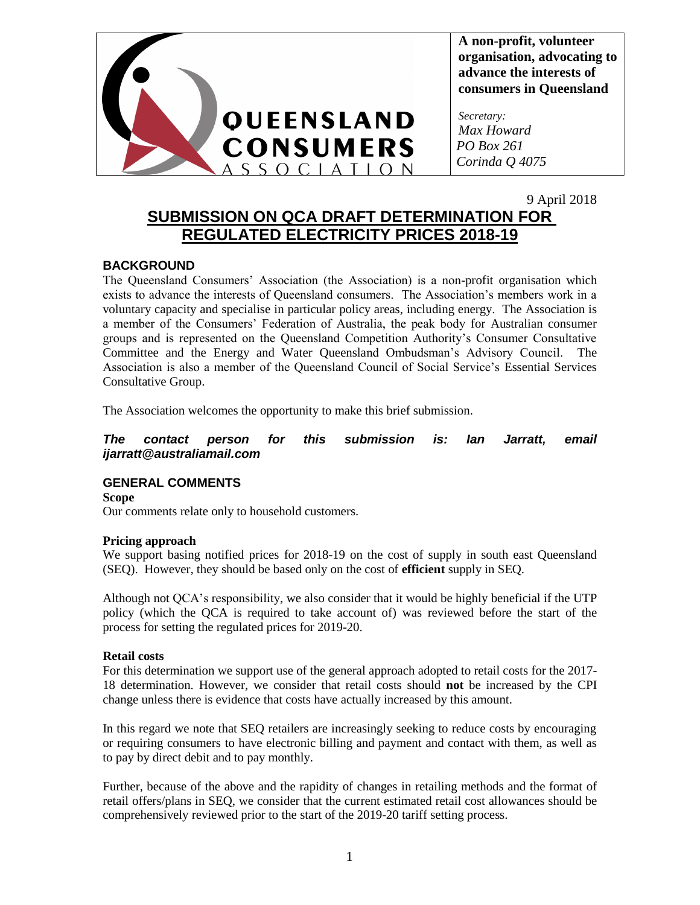

**A non-profit, volunteer organisation, advocating to advance the interests of consumers in Queensland**

*Secretary: Max Howard PO Box 261 Corinda Q 4075*

# 9 April 2018 **SUBMISSION ON QCA DRAFT DETERMINATION FOR REGULATED ELECTRICITY PRICES 2018-19**

## **BACKGROUND**

The Queensland Consumers' Association (the Association) is a non-profit organisation which exists to advance the interests of Queensland consumers. The Association's members work in a voluntary capacity and specialise in particular policy areas, including energy. The Association is a member of the Consumers' Federation of Australia, the peak body for Australian consumer groups and is represented on the Queensland Competition Authority's Consumer Consultative Committee and the Energy and Water Queensland Ombudsman's Advisory Council. The Association is also a member of the Queensland Council of Social Service's Essential Services Consultative Group.

The Association welcomes the opportunity to make this brief submission.

*The contact person for this submission is: Ian Jarratt, email ijarratt@australiamail.com*

## **GENERAL COMMENTS**

**Scope** Our comments relate only to household customers.

## **Pricing approach**

We support basing notified prices for 2018-19 on the cost of supply in south east Queensland (SEQ). However, they should be based only on the cost of **efficient** supply in SEQ.

Although not QCA's responsibility, we also consider that it would be highly beneficial if the UTP policy (which the QCA is required to take account of) was reviewed before the start of the process for setting the regulated prices for 2019-20.

#### **Retail costs**

For this determination we support use of the general approach adopted to retail costs for the 2017- 18 determination. However, we consider that retail costs should **not** be increased by the CPI change unless there is evidence that costs have actually increased by this amount.

In this regard we note that SEQ retailers are increasingly seeking to reduce costs by encouraging or requiring consumers to have electronic billing and payment and contact with them, as well as to pay by direct debit and to pay monthly.

Further, because of the above and the rapidity of changes in retailing methods and the format of retail offers/plans in SEQ, we consider that the current estimated retail cost allowances should be comprehensively reviewed prior to the start of the 2019-20 tariff setting process.